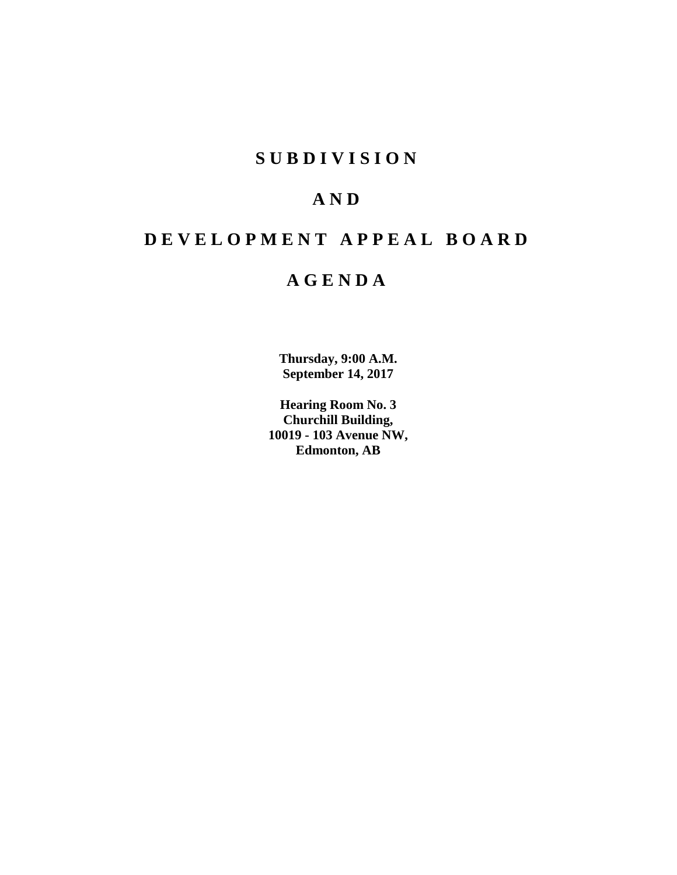## **S U B D I V I S I O N**

# **A N D**

# **D E V E L O P M E N T A P P E A L B O A R D**

# **A G E N D A**

**Thursday, 9:00 A.M. September 14, 2017**

**Hearing Room No. 3 Churchill Building, 10019 - 103 Avenue NW, Edmonton, AB**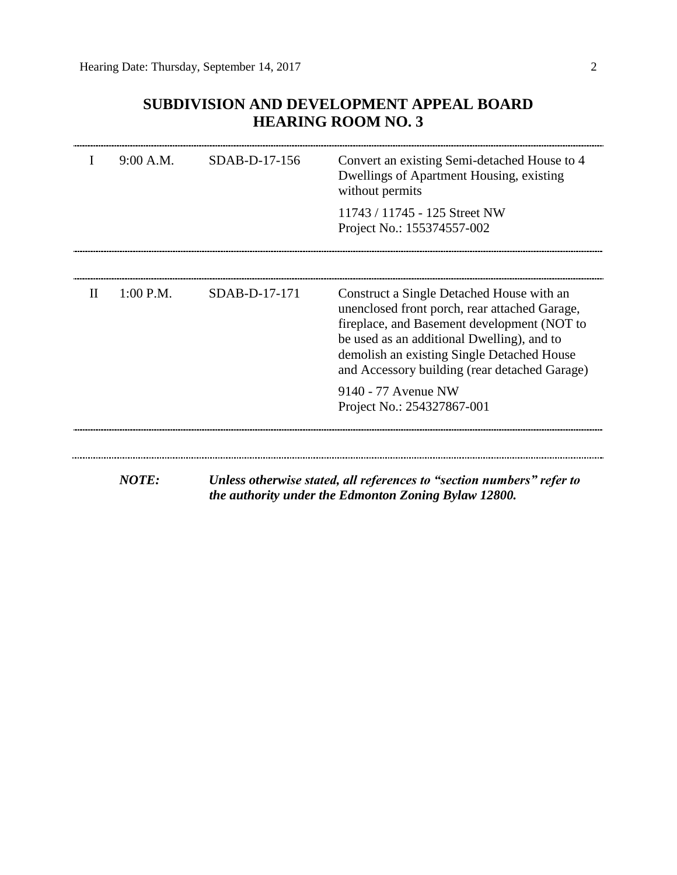## **SUBDIVISION AND DEVELOPMENT APPEAL BOARD HEARING ROOM NO. 3**

|              | 9:00 A.M.    | SDAB-D-17-156 | Convert an existing Semi-detached House to 4<br>Dwellings of Apartment Housing, existing<br>without permits                                                                                                                                                                            |
|--------------|--------------|---------------|----------------------------------------------------------------------------------------------------------------------------------------------------------------------------------------------------------------------------------------------------------------------------------------|
|              |              |               | 11743 / 11745 - 125 Street NW<br>Project No.: 155374557-002                                                                                                                                                                                                                            |
|              |              |               |                                                                                                                                                                                                                                                                                        |
| $\mathbf{I}$ | $1:00$ P.M.  | SDAB-D-17-171 | Construct a Single Detached House with an<br>unenclosed front porch, rear attached Garage,<br>fireplace, and Basement development (NOT to<br>be used as an additional Dwelling), and to<br>demolish an existing Single Detached House<br>and Accessory building (rear detached Garage) |
|              |              |               | 9140 - 77 Avenue NW<br>Project No.: 254327867-001                                                                                                                                                                                                                                      |
|              |              |               |                                                                                                                                                                                                                                                                                        |
|              | <b>NOTE:</b> |               | Unless otherwise stated, all references to "section numbers" refer to<br>the authority under the Edmonton Zoning Bylaw 12800.                                                                                                                                                          |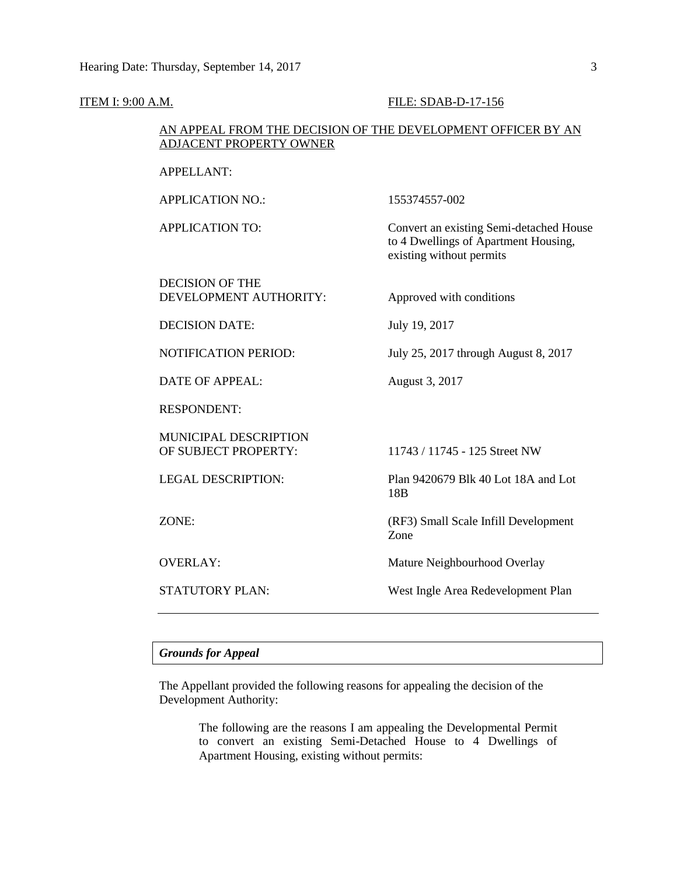| <b>ITEM I: 9:00 A.M.</b> |                                                                                                | FILE: SDAB-D-17-156                                                                                         |
|--------------------------|------------------------------------------------------------------------------------------------|-------------------------------------------------------------------------------------------------------------|
|                          | AN APPEAL FROM THE DECISION OF THE DEVELOPMENT OFFICER BY AN<br><b>ADJACENT PROPERTY OWNER</b> |                                                                                                             |
|                          | <b>APPELLANT:</b>                                                                              |                                                                                                             |
|                          | <b>APPLICATION NO.:</b>                                                                        | 155374557-002                                                                                               |
|                          | <b>APPLICATION TO:</b>                                                                         | Convert an existing Semi-detached House<br>to 4 Dwellings of Apartment Housing,<br>existing without permits |
|                          | <b>DECISION OF THE</b><br>DEVELOPMENT AUTHORITY:                                               | Approved with conditions                                                                                    |
|                          | <b>DECISION DATE:</b>                                                                          | July 19, 2017                                                                                               |
|                          | NOTIFICATION PERIOD:                                                                           | July 25, 2017 through August 8, 2017                                                                        |
|                          | <b>DATE OF APPEAL:</b>                                                                         | August 3, 2017                                                                                              |
|                          | <b>RESPONDENT:</b>                                                                             |                                                                                                             |
|                          | MUNICIPAL DESCRIPTION<br>OF SUBJECT PROPERTY:                                                  | 11743 / 11745 - 125 Street NW                                                                               |
|                          | <b>LEGAL DESCRIPTION:</b>                                                                      | Plan 9420679 Blk 40 Lot 18A and Lot<br>18 <sub>B</sub>                                                      |
|                          | ZONE:                                                                                          | (RF3) Small Scale Infill Development<br>Zone                                                                |
|                          | <b>OVERLAY:</b>                                                                                | Mature Neighbourhood Overlay                                                                                |
|                          | STATUTORY PLAN:                                                                                | West Ingle Area Redevelopment Plan                                                                          |

### *Grounds for Appeal*

The Appellant provided the following reasons for appealing the decision of the Development Authority:

> The following are the reasons I am appealing the Developmental Permit to convert an existing Semi-Detached House to 4 Dwellings of Apartment Housing, existing without permits: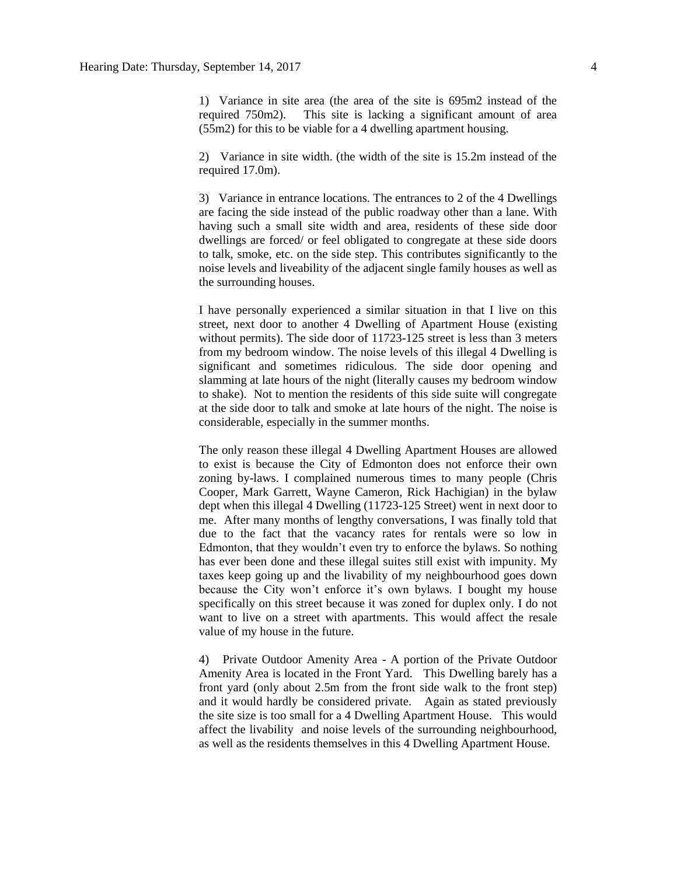1) Variance in site area (the area of the site is 695m2 instead of the required 750m2). This site is lacking a significant amount of area (55m2) for this to be viable for a 4 dwelling apartment housing.

2) Variance in site width. (the width of the site is 15.2m instead of the required 17.0m).

3) Variance in entrance locations. The entrances to 2 of the 4 Dwellings are facing the side instead of the public roadway other than a lane. With having such a small site width and area, residents of these side door dwellings are forced/ or feel obligated to congregate at these side doors to talk, smoke, etc. on the side step. This contributes significantly to the noise levels and liveability of the adjacent single family houses as well as the surrounding houses.

I have personally experienced a similar situation in that I live on this street, next door to another 4 Dwelling of Apartment House (existing without permits). The side door of 11723-125 street is less than 3 meters from my bedroom window. The noise levels of this illegal 4 Dwelling is significant and sometimes ridiculous. The side door opening and slamming at late hours of the night (literally causes my bedroom window to shake). Not to mention the residents of this side suite will congregate at the side door to talk and smoke at late hours of the night. The noise is considerable, especially in the summer months.

The only reason these illegal 4 Dwelling Apartment Houses are allowed to exist is because the City of Edmonton does not enforce their own zoning by-laws. I complained numerous times to many people (Chris Cooper, Mark Garrett, Wayne Cameron, Rick Hachigian) in the bylaw dept when this illegal 4 Dwelling (11723-125 Street) went in next door to me. After many months of lengthy conversations, I was finally told that due to the fact that the vacancy rates for rentals were so low in Edmonton, that they wouldn't even try to enforce the bylaws. So nothing has ever been done and these illegal suites still exist with impunity. My taxes keep going up and the livability of my neighbourhood goes down because the City won't enforce it's own bylaws. I bought my house specifically on this street because it was zoned for duplex only. I do not want to live on a street with apartments. This would affect the resale value of my house in the future.

4) Private Outdoor Amenity Area - A portion of the Private Outdoor Amenity Area is located in the Front Yard. This Dwelling barely has a front yard (only about 2.5m from the front side walk to the front step) and it would hardly be considered private. Again as stated previously the site size is too small for a 4 Dwelling Apartment House. This would affect the livability and noise levels of the surrounding neighbourhood, as well as the residents themselves in this 4 Dwelling Apartment House.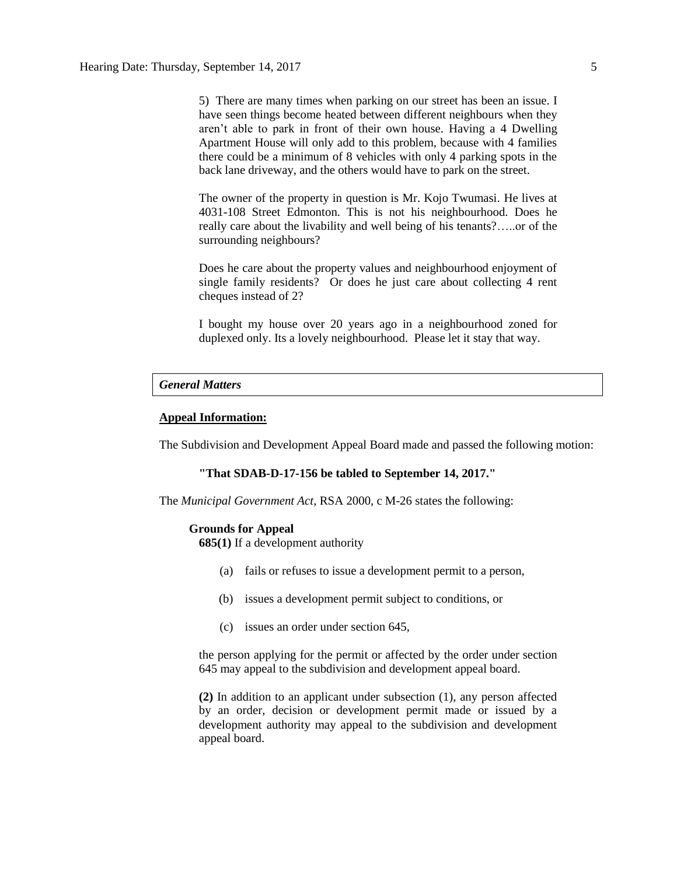5) There are many times when parking on our street has been an issue. I have seen things become heated between different neighbours when they aren't able to park in front of their own house. Having a 4 Dwelling Apartment House will only add to this problem, because with 4 families there could be a minimum of 8 vehicles with only 4 parking spots in the back lane driveway, and the others would have to park on the street.

The owner of the property in question is Mr. Kojo Twumasi. He lives at 4031-108 Street Edmonton. This is not his neighbourhood. Does he really care about the livability and well being of his tenants?…..or of the surrounding neighbours?

Does he care about the property values and neighbourhood enjoyment of single family residents? Or does he just care about collecting 4 rent cheques instead of 2?

I bought my house over 20 years ago in a neighbourhood zoned for duplexed only. Its a lovely neighbourhood. Please let it stay that way.

#### *General Matters*

#### **Appeal Information:**

The Subdivision and Development Appeal Board made and passed the following motion:

#### **"That SDAB-D-17-156 be tabled to September 14, 2017."**

The *Municipal Government Act*, RSA 2000, c M-26 states the following:

#### **Grounds for Appeal**

**685(1)** If a development authority

- (a) fails or refuses to issue a development permit to a person,
- (b) issues a development permit subject to conditions, or
- (c) issues an order under section 645,

the person applying for the permit or affected by the order under section 645 may appeal to the subdivision and development appeal board.

**(2)** In addition to an applicant under subsection (1), any person affected by an order, decision or development permit made or issued by a development authority may appeal to the subdivision and development appeal board.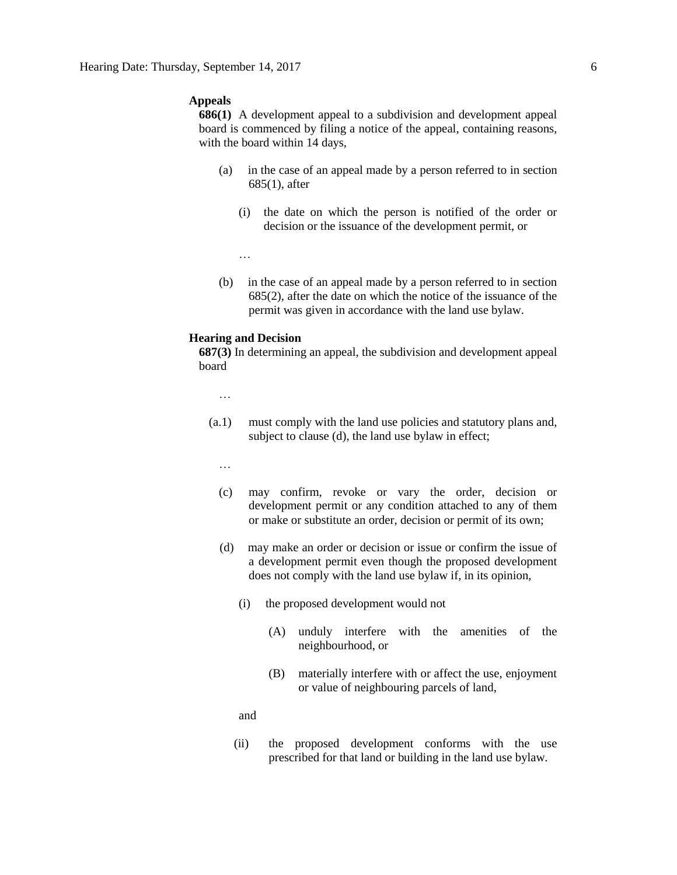#### **Appeals**

**686(1)** A development appeal to a subdivision and development appeal board is commenced by filing a notice of the appeal, containing reasons, with the board within 14 days,

- (a) in the case of an appeal made by a person referred to in section 685(1), after
	- (i) the date on which the person is notified of the order or decision or the issuance of the development permit, or

…

(b) in the case of an appeal made by a person referred to in section 685(2), after the date on which the notice of the issuance of the permit was given in accordance with the land use bylaw.

#### **Hearing and Decision**

**687(3)** In determining an appeal, the subdivision and development appeal board

…

- (a.1) must comply with the land use policies and statutory plans and, subject to clause (d), the land use bylaw in effect;
	- …
	- (c) may confirm, revoke or vary the order, decision or development permit or any condition attached to any of them or make or substitute an order, decision or permit of its own;
	- (d) may make an order or decision or issue or confirm the issue of a development permit even though the proposed development does not comply with the land use bylaw if, in its opinion,
		- (i) the proposed development would not
			- (A) unduly interfere with the amenities of the neighbourhood, or
			- (B) materially interfere with or affect the use, enjoyment or value of neighbouring parcels of land,

and

(ii) the proposed development conforms with the use prescribed for that land or building in the land use bylaw.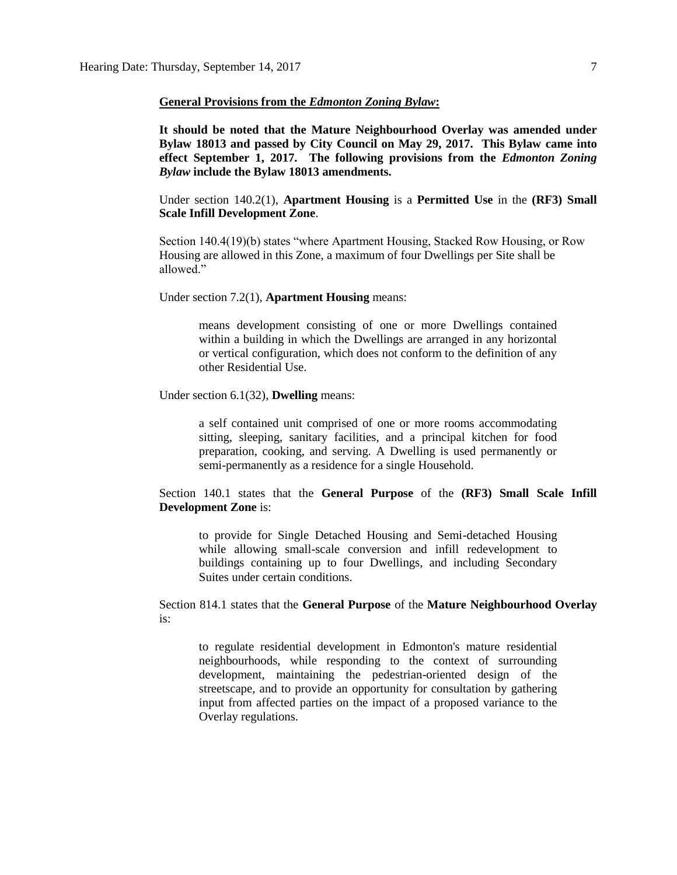#### **General Provisions from the** *Edmonton Zoning Bylaw***:**

**It should be noted that the Mature Neighbourhood Overlay was amended under Bylaw 18013 and passed by City Council on May 29, 2017. This Bylaw came into effect September 1, 2017. The following provisions from the** *Edmonton Zoning Bylaw* **include the Bylaw 18013 amendments.**

Under section 140.2(1), **Apartment Housing** is a **Permitted Use** in the **(RF3) Small Scale Infill Development Zone**.

Section 140.4(19)(b) states "where Apartment Housing, Stacked Row Housing, or Row Housing are allowed in this Zone, a maximum of four Dwellings per Site shall be allowed."

Under section 7.2(1), **Apartment Housing** means:

means development consisting of one or more Dwellings contained within a building in which the Dwellings are arranged in any horizontal or vertical configuration, which does not conform to the definition of any other Residential Use.

Under section 6.1(32), **Dwelling** means:

a self contained unit comprised of one or more rooms accommodating sitting, sleeping, sanitary facilities, and a principal kitchen for food preparation, cooking, and serving. A Dwelling is used permanently or semi-permanently as a residence for a single Household.

Section 140.1 states that the **General Purpose** of the **(RF3) Small Scale Infill Development Zone** is:

to provide for Single Detached Housing and Semi-detached Housing while allowing small-scale conversion and infill redevelopment to buildings containing up to four Dwellings, and including Secondary Suites under certain conditions.

Section 814.1 states that the **General Purpose** of the **Mature Neighbourhood Overlay** is:

to regulate residential development in Edmonton's mature residential neighbourhoods, while responding to the context of surrounding development, maintaining the pedestrian-oriented design of the streetscape, and to provide an opportunity for consultation by gathering input from affected parties on the impact of a proposed variance to the Overlay regulations.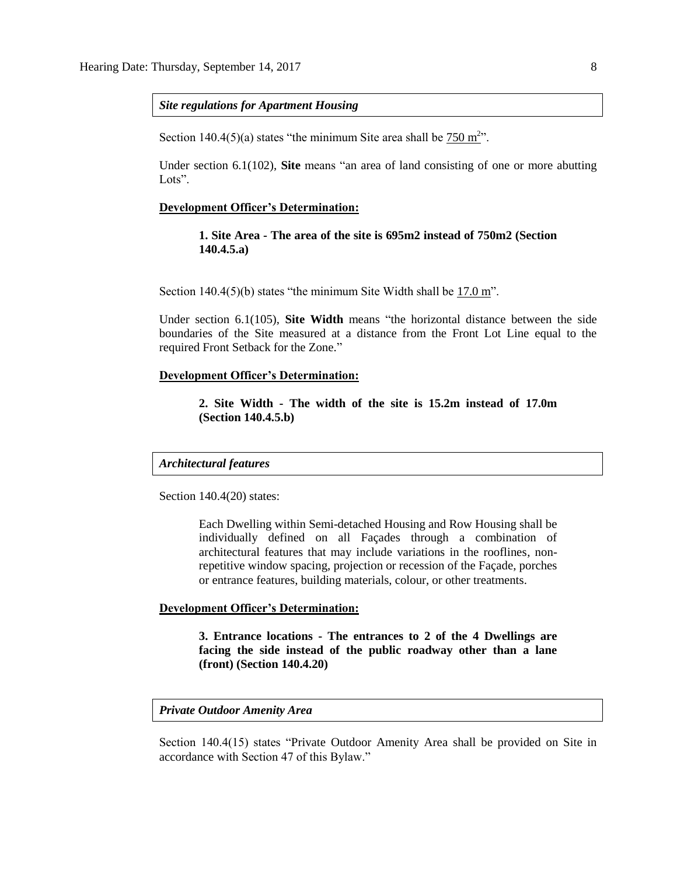*Site regulations for Apartment Housing*

Section 140.4(5)(a) states "the minimum Site area shall be  $750 \text{ m}^2$ ".

Under section 6.1(102), **Site** means "an area of land consisting of one or more abutting Lots".

#### **Development Officer's Determination:**

**1. Site Area - The area of the site is 695m2 instead of 750m2 (Section 140.4.5.a)**

Section 140.4(5)(b) states "the minimum Site Width shall be 17.0 m".

Under section 6.1(105), **Site Width** means "the horizontal distance between the side boundaries of the Site measured at a distance from the Front Lot Line equal to the required Front Setback for the Zone."

#### **Development Officer's Determination:**

**2. Site Width - The width of the site is 15.2m instead of 17.0m (Section 140.4.5.b)**

#### *Architectural features*

Section 140.4(20) states:

Each Dwelling within Semi-detached Housing and Row Housing shall be individually defined on all Façades through a combination of architectural features that may include variations in the rooflines, nonrepetitive window spacing, projection or recession of the Façade, porches or entrance features, building materials, colour, or other treatments.

### **Development Officer's Determination:**

**3. Entrance locations - The entrances to 2 of the 4 Dwellings are facing the side instead of the public roadway other than a lane (front) (Section 140.4.20)**

#### *Private Outdoor Amenity Area*

Section 140.4(15) states "Private Outdoor Amenity Area shall be provided on Site in accordance with Section 47 of this Bylaw."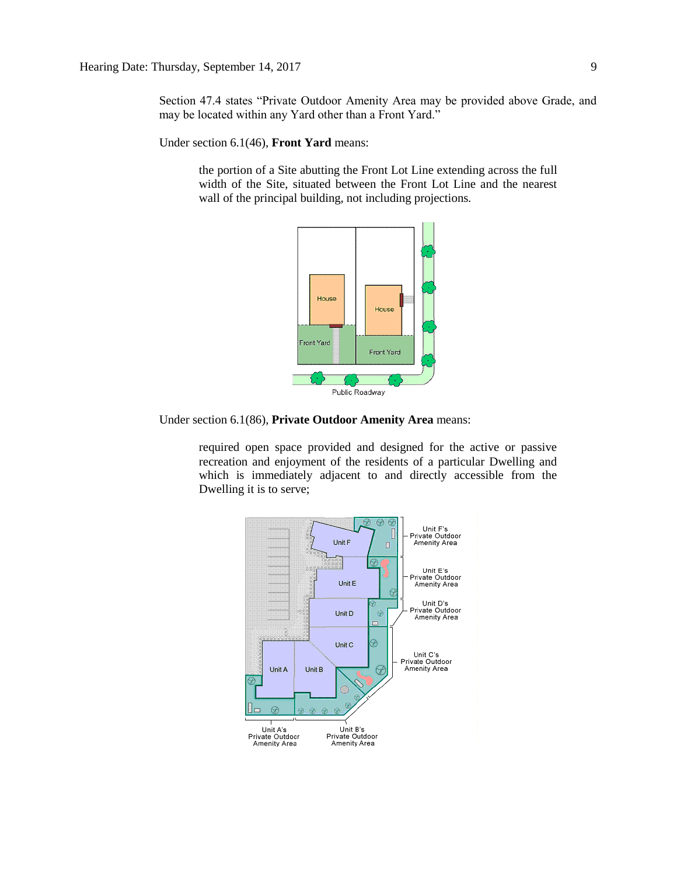Section 47.4 states "Private Outdoor Amenity Area may be provided above Grade, and may be located within any Yard other than a Front Yard."

Under section 6.1(46), **Front Yard** means:

the portion of a Site abutting the Front Lot Line extending across the full width of the Site, situated between the Front Lot Line and the nearest wall of the principal building, not including projections.



Under section 6.1(86), **Private Outdoor Amenity Area** means:

required open space provided and designed for the active or passive recreation and enjoyment of the residents of a particular Dwelling and which is immediately adjacent to and directly accessible from the Dwelling it is to serve;

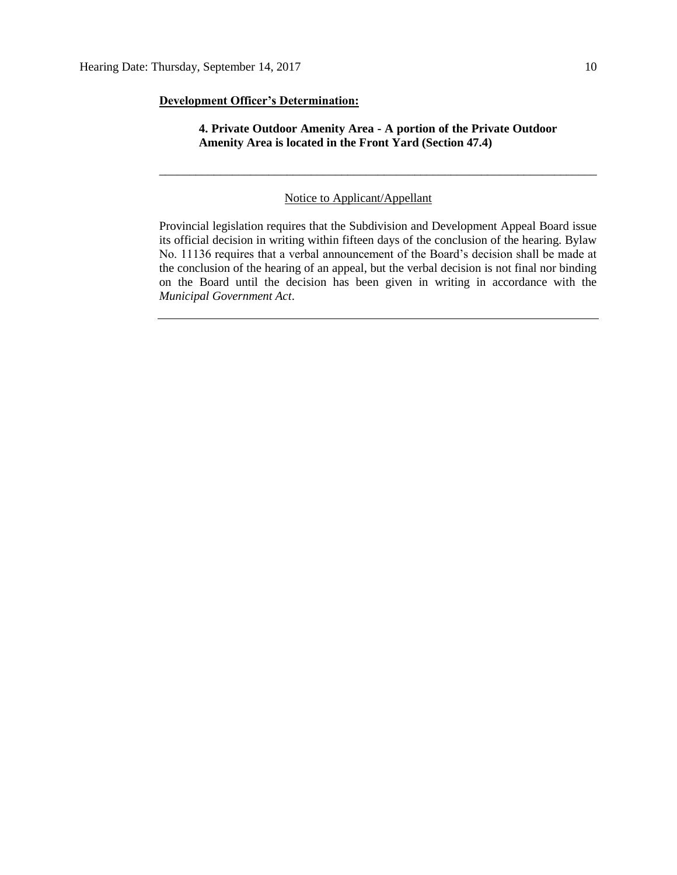#### **Development Officer's Determination:**

### **4. Private Outdoor Amenity Area - A portion of the Private Outdoor Amenity Area is located in the Front Yard (Section 47.4)**

\_\_\_\_\_\_\_\_\_\_\_\_\_\_\_\_\_\_\_\_\_\_\_\_\_\_\_\_\_\_\_\_\_\_\_\_\_\_\_\_\_\_\_\_\_\_\_\_\_\_\_\_\_\_\_\_\_\_\_\_\_\_\_\_\_\_\_\_\_\_\_\_

#### Notice to Applicant/Appellant

Provincial legislation requires that the Subdivision and Development Appeal Board issue its official decision in writing within fifteen days of the conclusion of the hearing. Bylaw No. 11136 requires that a verbal announcement of the Board's decision shall be made at the conclusion of the hearing of an appeal, but the verbal decision is not final nor binding on the Board until the decision has been given in writing in accordance with the *Municipal Government Act*.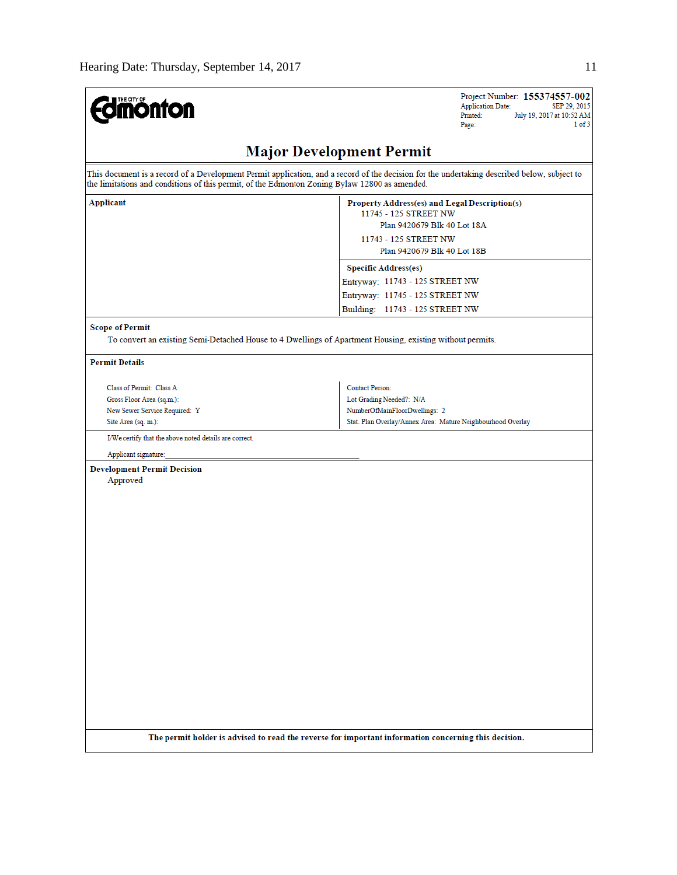| <b>THE CITY OF</b><br><b>nonton</b>                                                           | Project Number: 155374557-002<br><b>Application Date:</b><br>SEP 29, 2015<br>Printed:<br>July 19, 2017 at 10:52 AM<br>1 of 3<br>Page:                         |
|-----------------------------------------------------------------------------------------------|---------------------------------------------------------------------------------------------------------------------------------------------------------------|
|                                                                                               | <b>Major Development Permit</b>                                                                                                                               |
| the limitations and conditions of this permit, of the Edmonton Zoning Bylaw 12800 as amended. | This document is a record of a Development Permit application, and a record of the decision for the undertaking described below, subject to                   |
| <b>Applicant</b>                                                                              | Property Address(es) and Legal Description(s)<br>11745 - 125 STREET NW<br>Plan 9420679 Blk 40 Lot 18A<br>11743 - 125 STREET NW<br>Plan 9420679 Blk 40 Lot 18B |
|                                                                                               | <b>Specific Address(es)</b><br>Entryway: 11743 - 125 STREET NW                                                                                                |
|                                                                                               | Entryway: 11745 - 125 STREET NW                                                                                                                               |
|                                                                                               | Building: 11743 - 125 STREET NW                                                                                                                               |
| <b>Scope of Permit</b>                                                                        |                                                                                                                                                               |
|                                                                                               | To convert an existing Semi-Detached House to 4 Dwellings of Apartment Housing, existing without permits.                                                     |
| <b>Permit Details</b>                                                                         |                                                                                                                                                               |
| Class of Permit: Class A                                                                      | <b>Contact Person:</b>                                                                                                                                        |
| Gross Floor Area (sq.m.):                                                                     | Lot Grading Needed?: N/A                                                                                                                                      |
| New Sewer Service Required: Y                                                                 | NumberOfMainFloorDwellings: 2                                                                                                                                 |
| Site Area (sq. m.):                                                                           | Stat. Plan Overlay/Annex Area: Mature Neighbourhood Overlay                                                                                                   |
| I/We certify that the above noted details are correct.                                        |                                                                                                                                                               |
| Applicant signature:                                                                          |                                                                                                                                                               |
| <b>Development Permit Decision</b><br>Approved                                                |                                                                                                                                                               |
|                                                                                               | The permit holder is advised to read the reverse for important information concerning this decision.                                                          |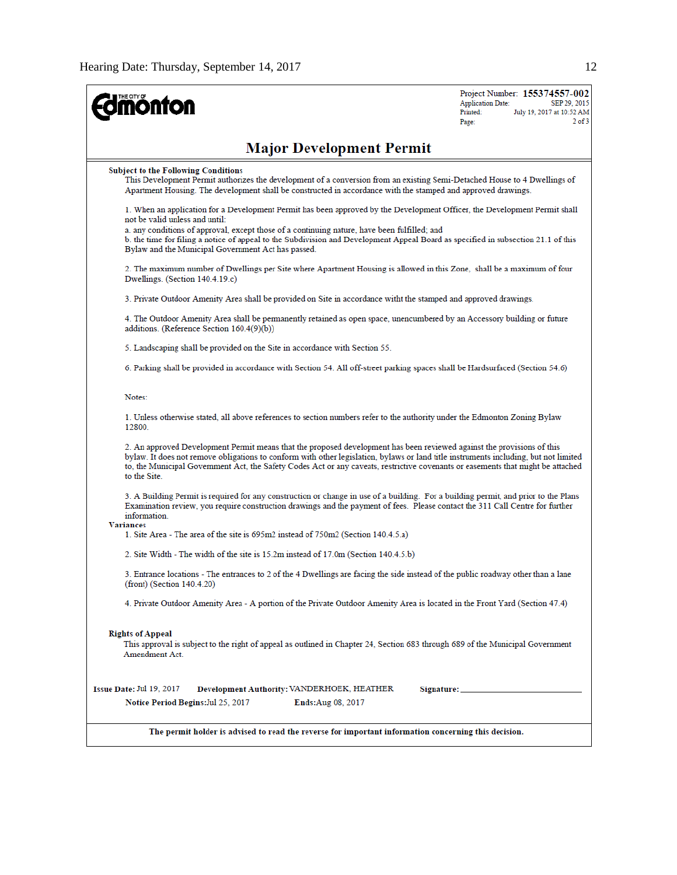| <b>mónfon</b>                                                                                                                                                                                                                                                                                                                                                                                                      | Project Number: 155374557-002<br><b>Application Date:</b><br>SEP 29, 2015<br>Printed:<br>July 19, 2017 at 10:52 AM<br>$2$ of $3$<br>Page: |
|--------------------------------------------------------------------------------------------------------------------------------------------------------------------------------------------------------------------------------------------------------------------------------------------------------------------------------------------------------------------------------------------------------------------|-------------------------------------------------------------------------------------------------------------------------------------------|
| <b>Major Development Permit</b>                                                                                                                                                                                                                                                                                                                                                                                    |                                                                                                                                           |
| <b>Subject to the Following Conditions</b><br>This Development Permit authorizes the development of a conversion from an existing Semi-Detached House to 4 Dwellings of<br>Apartment Housing. The development shall be constructed in accordance with the stamped and approved drawings.                                                                                                                           |                                                                                                                                           |
| 1. When an application for a Development Permit has been approved by the Development Officer, the Development Permit shall<br>not be valid unless and until:                                                                                                                                                                                                                                                       |                                                                                                                                           |
| a. any conditions of approval, except those of a continuing nature, have been fulfilled; and<br>b. the time for filing a notice of appeal to the Subdivision and Development Appeal Board as specified in subsection 21.1 of this<br>Bylaw and the Municipal Government Act has passed.                                                                                                                            |                                                                                                                                           |
| 2. The maximum number of Dwellings per Site where Apartment Housing is allowed in this Zone, shall be a maximum of four<br>Dwellings. (Section 140.4.19.c)                                                                                                                                                                                                                                                         |                                                                                                                                           |
| 3. Private Outdoor Amenity Area shall be provided on Site in accordance witht the stamped and approved drawings.                                                                                                                                                                                                                                                                                                   |                                                                                                                                           |
| 4. The Outdoor Amenity Area shall be permanently retained as open space, unencumbered by an Accessory building or future<br>additions. (Reference Section 160.4(9)(b))                                                                                                                                                                                                                                             |                                                                                                                                           |
| 5. Landscaping shall be provided on the Site in accordance with Section 55.                                                                                                                                                                                                                                                                                                                                        |                                                                                                                                           |
| 6. Parking shall be provided in accordance with Section 54. All off-street parking spaces shall be Hardsurfaced (Section 54.6)                                                                                                                                                                                                                                                                                     |                                                                                                                                           |
| Notes:                                                                                                                                                                                                                                                                                                                                                                                                             |                                                                                                                                           |
| 1. Unless otherwise stated, all above references to section numbers refer to the authority under the Edmonton Zoning Bylaw<br>12800.                                                                                                                                                                                                                                                                               |                                                                                                                                           |
| 2. An approved Development Permit means that the proposed development has been reviewed against the provisions of this<br>bylaw. It does not remove obligations to conform with other legislation, bylaws or land title instruments including, but not limited<br>to, the Municipal Government Act, the Safety Codes Act or any caveats, restrictive covenants or easements that might be attached<br>to the Site. |                                                                                                                                           |
| 3. A Building Permit is required for any construction or change in use of a building. For a building permit, and prior to the Plans<br>Examination review, you require construction drawings and the payment of fees. Please contact the 311 Call Centre for further<br>information.<br><b>Variances</b>                                                                                                           |                                                                                                                                           |
| 1. Site Area - The area of the site is 695m2 instead of 750m2 (Section 140.4.5.a)                                                                                                                                                                                                                                                                                                                                  |                                                                                                                                           |
| 2. Site Width - The width of the site is 15.2m instead of 17.0m (Section 140.4.5.b)                                                                                                                                                                                                                                                                                                                                |                                                                                                                                           |
| 3. Entrance locations - The entrances to 2 of the 4 Dwellings are facing the side instead of the public roadway other than a lane<br>(front) (Section 140.4.20)                                                                                                                                                                                                                                                    |                                                                                                                                           |
| 4. Private Outdoor Amenity Area - A portion of the Private Outdoor Amenity Area is located in the Front Yard (Section 47.4)                                                                                                                                                                                                                                                                                        |                                                                                                                                           |
| <b>Rights of Appeal</b><br>This approval is subject to the right of appeal as outlined in Chapter 24, Section 683 through 689 of the Municipal Government<br>Amendment Act.                                                                                                                                                                                                                                        |                                                                                                                                           |
| Issue Date: Jul 19, 2017<br>Development Authority: VANDERHOEK, HEATHER                                                                                                                                                                                                                                                                                                                                             | Signature: ____________________                                                                                                           |
| Notice Period Begins: Jul 25, 2017<br><b>Ends:Aug 08, 2017</b>                                                                                                                                                                                                                                                                                                                                                     |                                                                                                                                           |
| The permit holder is advised to read the reverse for important information concerning this decision.                                                                                                                                                                                                                                                                                                               |                                                                                                                                           |
|                                                                                                                                                                                                                                                                                                                                                                                                                    |                                                                                                                                           |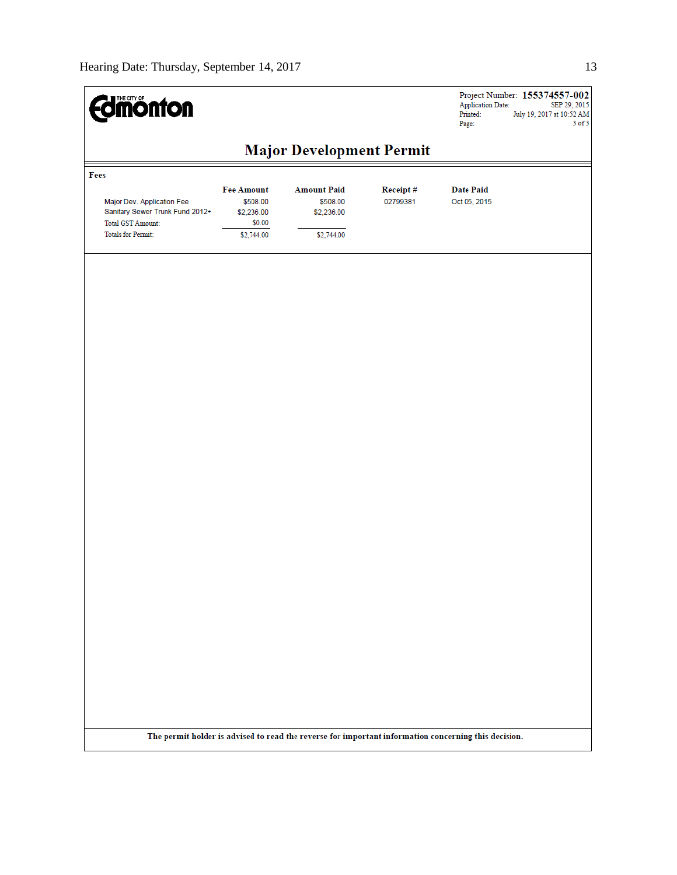| <b>Edmönton</b>                                                                                                         |                                                                     |                                                                                                      |                      | <b>Application Date:</b><br>Printed:<br>Page: | Project Number: 155374557-002<br>SEP 29, 2015<br>July 19, 2017 at 10:52 AM<br>$3$ of $3$ |
|-------------------------------------------------------------------------------------------------------------------------|---------------------------------------------------------------------|------------------------------------------------------------------------------------------------------|----------------------|-----------------------------------------------|------------------------------------------------------------------------------------------|
|                                                                                                                         |                                                                     | <b>Major Development Permit</b>                                                                      |                      |                                               |                                                                                          |
| Fees<br>Major Dev. Application Fee<br>Sanitary Sewer Trunk Fund 2012+<br>Total GST Amount:<br><b>Totals for Permit:</b> | <b>Fee Amount</b><br>\$508.00<br>\$2,236.00<br>\$0.00<br>\$2,744.00 | <b>Amount Paid</b><br>\$508.00<br>\$2,236.00<br>\$2,744.00                                           | Receipt#<br>02799381 | <b>Date Paid</b><br>Oct 05, 2015              |                                                                                          |
|                                                                                                                         |                                                                     |                                                                                                      |                      |                                               |                                                                                          |
|                                                                                                                         |                                                                     |                                                                                                      |                      |                                               |                                                                                          |
|                                                                                                                         |                                                                     |                                                                                                      |                      |                                               |                                                                                          |
|                                                                                                                         |                                                                     |                                                                                                      |                      |                                               |                                                                                          |
|                                                                                                                         |                                                                     |                                                                                                      |                      |                                               |                                                                                          |
|                                                                                                                         |                                                                     |                                                                                                      |                      |                                               |                                                                                          |
|                                                                                                                         |                                                                     |                                                                                                      |                      |                                               |                                                                                          |
|                                                                                                                         |                                                                     |                                                                                                      |                      |                                               |                                                                                          |
|                                                                                                                         |                                                                     | The permit holder is advised to read the reverse for important information concerning this decision. |                      |                                               |                                                                                          |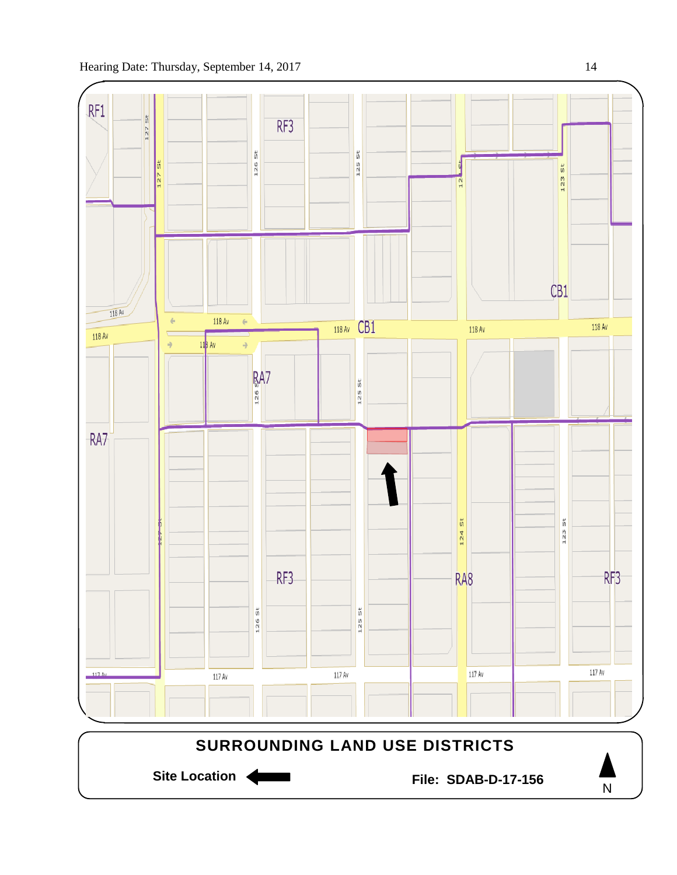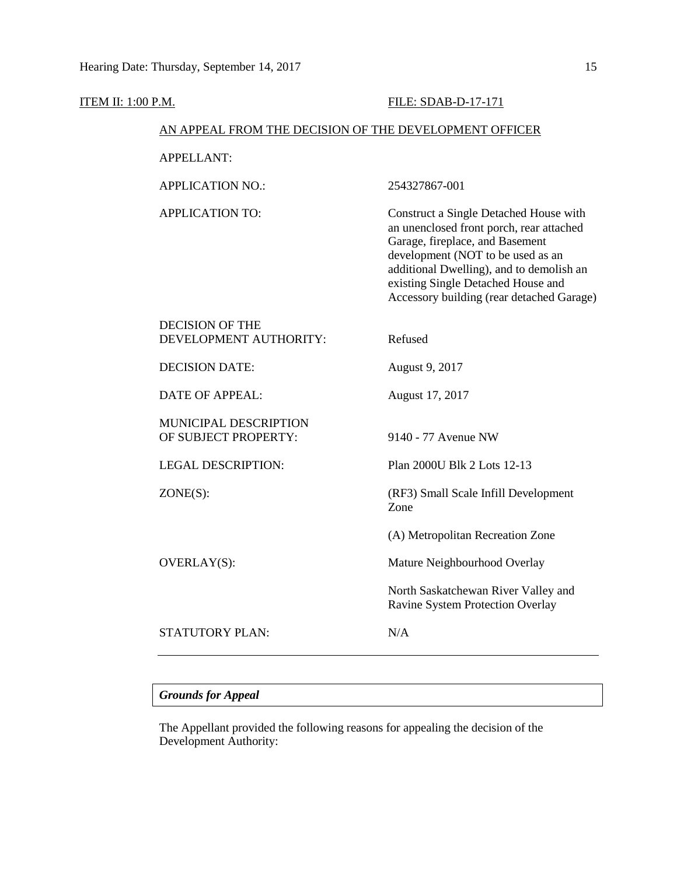| <b>ITEM II: 1:00 P.M.</b> |                                                        | FILE: SDAB-D-17-171                                                                                                                                                                                                                                                                       |
|---------------------------|--------------------------------------------------------|-------------------------------------------------------------------------------------------------------------------------------------------------------------------------------------------------------------------------------------------------------------------------------------------|
|                           | AN APPEAL FROM THE DECISION OF THE DEVELOPMENT OFFICER |                                                                                                                                                                                                                                                                                           |
|                           | <b>APPELLANT:</b>                                      |                                                                                                                                                                                                                                                                                           |
|                           | <b>APPLICATION NO.:</b>                                | 254327867-001                                                                                                                                                                                                                                                                             |
|                           | <b>APPLICATION TO:</b>                                 | Construct a Single Detached House with<br>an unenclosed front porch, rear attached<br>Garage, fireplace, and Basement<br>development (NOT to be used as an<br>additional Dwelling), and to demolish an<br>existing Single Detached House and<br>Accessory building (rear detached Garage) |
|                           | <b>DECISION OF THE</b><br>DEVELOPMENT AUTHORITY:       | Refused                                                                                                                                                                                                                                                                                   |
|                           | <b>DECISION DATE:</b>                                  | August 9, 2017                                                                                                                                                                                                                                                                            |
|                           | <b>DATE OF APPEAL:</b>                                 | August 17, 2017                                                                                                                                                                                                                                                                           |
|                           | MUNICIPAL DESCRIPTION<br>OF SUBJECT PROPERTY:          | 9140 - 77 Avenue NW                                                                                                                                                                                                                                                                       |
|                           | <b>LEGAL DESCRIPTION:</b>                              | Plan 2000U Blk 2 Lots 12-13                                                                                                                                                                                                                                                               |
|                           | $ZONE(S)$ :                                            | (RF3) Small Scale Infill Development<br>Zone                                                                                                                                                                                                                                              |
|                           |                                                        | (A) Metropolitan Recreation Zone                                                                                                                                                                                                                                                          |
|                           | OVERLAY(S):                                            | Mature Neighbourhood Overlay                                                                                                                                                                                                                                                              |
|                           |                                                        | North Saskatchewan River Valley and<br>Ravine System Protection Overlay                                                                                                                                                                                                                   |
|                           | STATUTORY PLAN:                                        | N/A                                                                                                                                                                                                                                                                                       |
|                           |                                                        |                                                                                                                                                                                                                                                                                           |

# *Grounds for Appeal*

The Appellant provided the following reasons for appealing the decision of the Development Authority: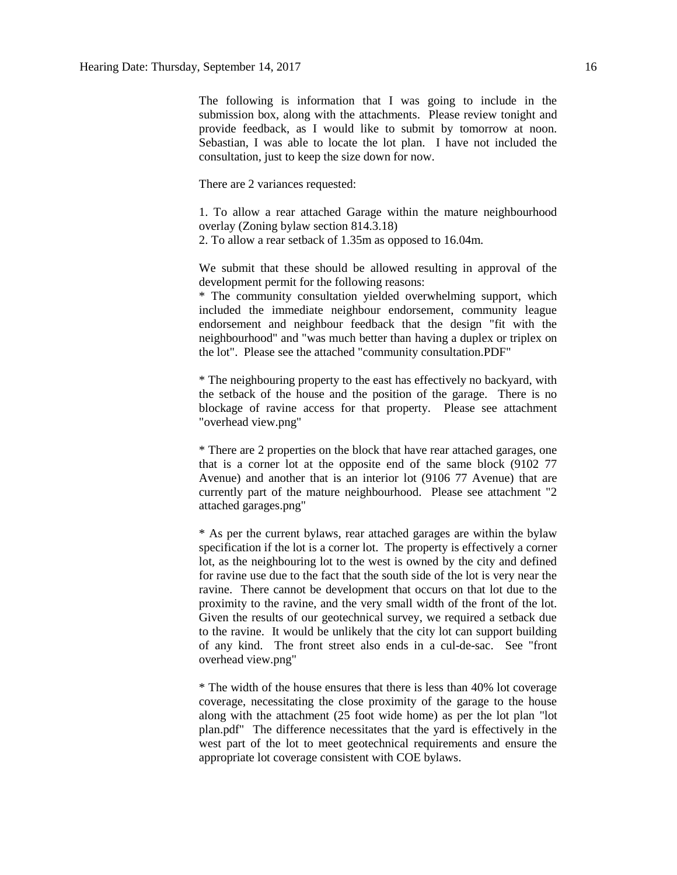The following is information that I was going to include in the submission box, along with the attachments. Please review tonight and provide feedback, as I would like to submit by tomorrow at noon. Sebastian, I was able to locate the lot plan. I have not included the consultation, just to keep the size down for now.

There are 2 variances requested:

1. To allow a rear attached Garage within the mature neighbourhood overlay (Zoning bylaw section 814.3.18) 2. To allow a rear setback of 1.35m as opposed to 16.04m.

We submit that these should be allowed resulting in approval of the development permit for the following reasons:

\* The community consultation yielded overwhelming support, which included the immediate neighbour endorsement, community league endorsement and neighbour feedback that the design "fit with the neighbourhood" and "was much better than having a duplex or triplex on the lot". Please see the attached "community consultation.PDF"

\* The neighbouring property to the east has effectively no backyard, with the setback of the house and the position of the garage. There is no blockage of ravine access for that property. Please see attachment "overhead view.png"

\* There are 2 properties on the block that have rear attached garages, one that is a corner lot at the opposite end of the same block (9102 77 Avenue) and another that is an interior lot (9106 77 Avenue) that are currently part of the mature neighbourhood. Please see attachment "2 attached garages.png"

\* As per the current bylaws, rear attached garages are within the bylaw specification if the lot is a corner lot. The property is effectively a corner lot, as the neighbouring lot to the west is owned by the city and defined for ravine use due to the fact that the south side of the lot is very near the ravine. There cannot be development that occurs on that lot due to the proximity to the ravine, and the very small width of the front of the lot. Given the results of our geotechnical survey, we required a setback due to the ravine. It would be unlikely that the city lot can support building of any kind. The front street also ends in a cul-de-sac. See "front overhead view.png"

\* The width of the house ensures that there is less than 40% lot coverage coverage, necessitating the close proximity of the garage to the house along with the attachment (25 foot wide home) as per the lot plan "lot plan.pdf" The difference necessitates that the yard is effectively in the west part of the lot to meet geotechnical requirements and ensure the appropriate lot coverage consistent with COE bylaws.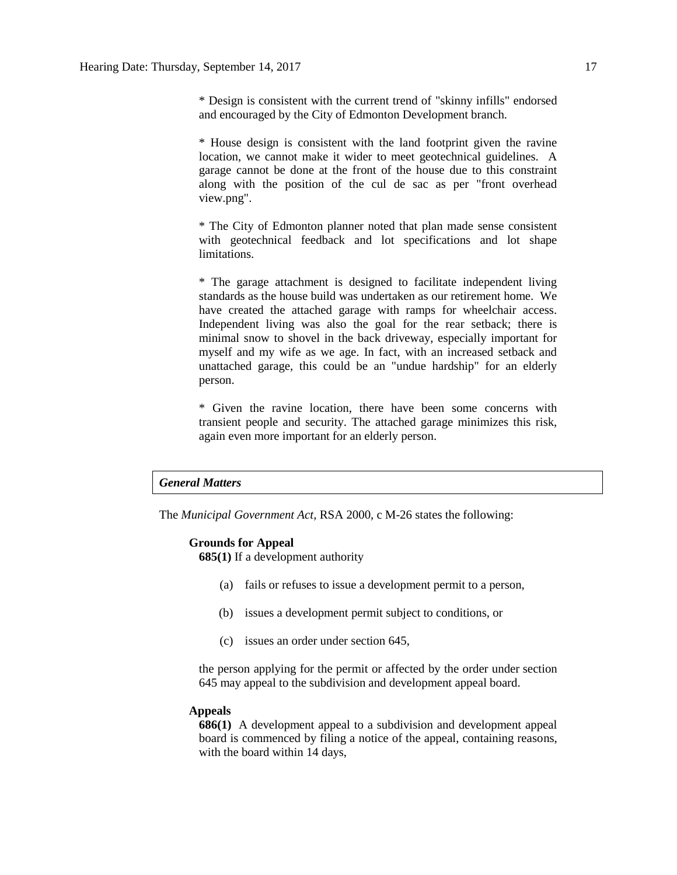\* Design is consistent with the current trend of "skinny infills" endorsed and encouraged by the City of Edmonton Development branch.

\* House design is consistent with the land footprint given the ravine location, we cannot make it wider to meet geotechnical guidelines. A garage cannot be done at the front of the house due to this constraint along with the position of the cul de sac as per "front overhead view.png".

\* The City of Edmonton planner noted that plan made sense consistent with geotechnical feedback and lot specifications and lot shape limitations.

\* The garage attachment is designed to facilitate independent living standards as the house build was undertaken as our retirement home. We have created the attached garage with ramps for wheelchair access. Independent living was also the goal for the rear setback; there is minimal snow to shovel in the back driveway, especially important for myself and my wife as we age. In fact, with an increased setback and unattached garage, this could be an "undue hardship" for an elderly person.

\* Given the ravine location, there have been some concerns with transient people and security. The attached garage minimizes this risk, again even more important for an elderly person.

### *General Matters*

The *Municipal Government Act*, RSA 2000, c M-26 states the following:

#### **Grounds for Appeal**

**685(1)** If a development authority

- (a) fails or refuses to issue a development permit to a person,
- (b) issues a development permit subject to conditions, or
- (c) issues an order under section 645,

the person applying for the permit or affected by the order under section 645 may appeal to the subdivision and development appeal board.

#### **Appeals**

**686(1)** A development appeal to a subdivision and development appeal board is commenced by filing a notice of the appeal, containing reasons, with the board within 14 days,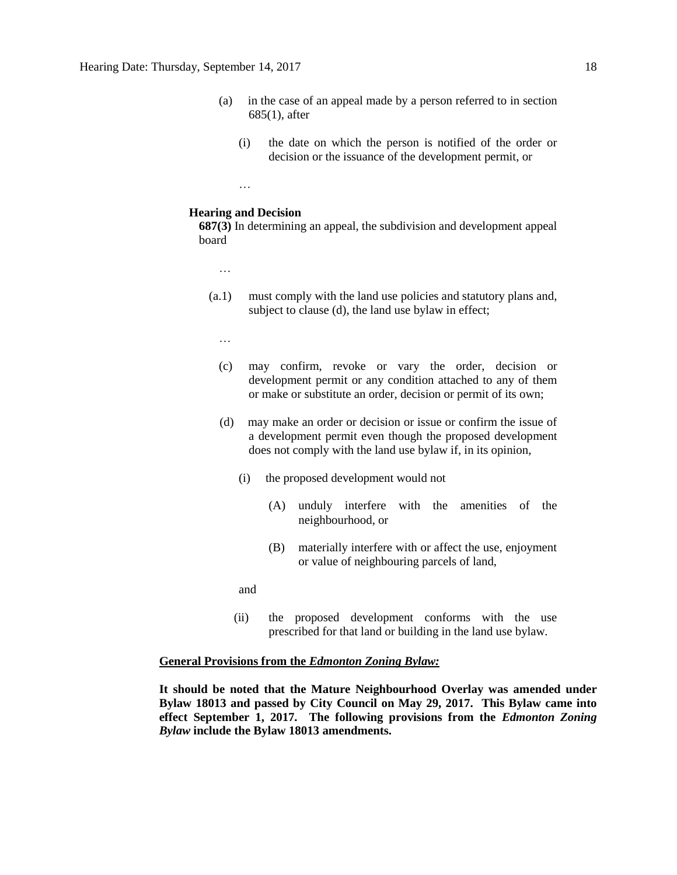- (a) in the case of an appeal made by a person referred to in section 685(1), after
	- (i) the date on which the person is notified of the order or decision or the issuance of the development permit, or
- **Hearing and Decision**

…

**687(3)** In determining an appeal, the subdivision and development appeal board

- …
- (a.1) must comply with the land use policies and statutory plans and, subject to clause (d), the land use bylaw in effect;
	- …
	- (c) may confirm, revoke or vary the order, decision or development permit or any condition attached to any of them or make or substitute an order, decision or permit of its own;
	- (d) may make an order or decision or issue or confirm the issue of a development permit even though the proposed development does not comply with the land use bylaw if, in its opinion,
		- (i) the proposed development would not
			- (A) unduly interfere with the amenities of the neighbourhood, or
			- (B) materially interfere with or affect the use, enjoyment or value of neighbouring parcels of land,

and

(ii) the proposed development conforms with the use prescribed for that land or building in the land use bylaw.

#### **General Provisions from the** *Edmonton Zoning Bylaw:*

**It should be noted that the Mature Neighbourhood Overlay was amended under Bylaw 18013 and passed by City Council on May 29, 2017. This Bylaw came into effect September 1, 2017. The following provisions from the** *Edmonton Zoning Bylaw* **include the Bylaw 18013 amendments.**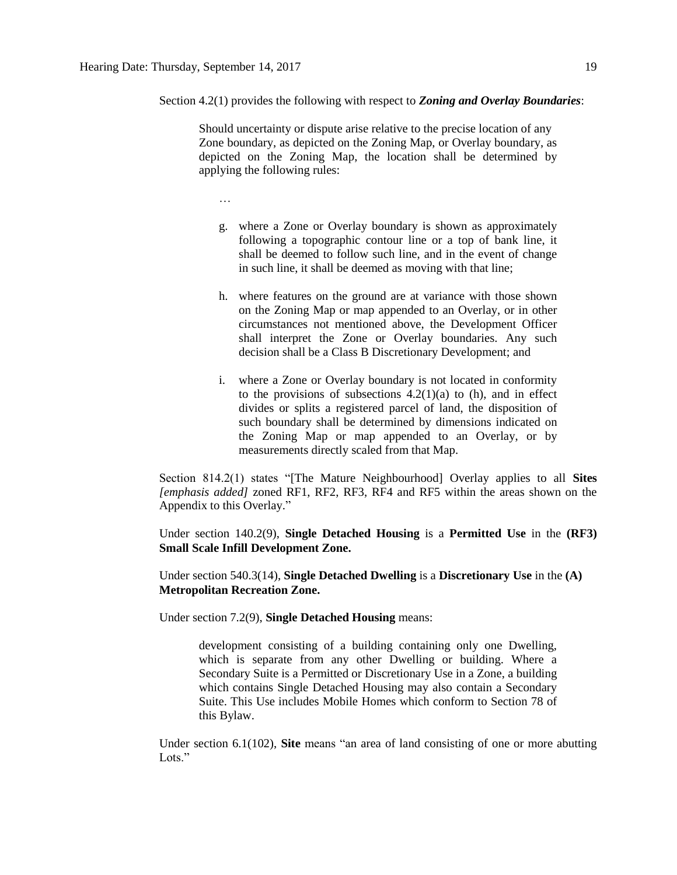Section 4.2(1) provides the following with respect to *Zoning and Overlay Boundaries*:

Should uncertainty or dispute arise relative to the precise location of any Zone boundary, as depicted on the Zoning Map, or Overlay boundary, as depicted on the Zoning Map, the location shall be determined by applying the following rules:

…

- g. where a Zone or Overlay boundary is shown as approximately following a topographic contour line or a top of bank line, it shall be deemed to follow such line, and in the event of change in such line, it shall be deemed as moving with that line;
- h. where features on the ground are at variance with those shown on the Zoning Map or map appended to an Overlay, or in other circumstances not mentioned above, the Development Officer shall interpret the Zone or Overlay boundaries. Any such decision shall be a Class B Discretionary Development; and
- i. where a Zone or Overlay boundary is not located in conformity to the provisions of subsections  $4.2(1)(a)$  to (h), and in effect divides or splits a registered parcel of land, the disposition of such boundary shall be determined by dimensions indicated on the Zoning Map or map appended to an Overlay, or by measurements directly scaled from that Map.

Section 814.2(1) states "[The Mature Neighbourhood] Overlay applies to all **Sites** *[emphasis added]* zoned RF1, RF2, RF3, RF4 and RF5 within the areas shown on the Appendix to this Overlay."

Under section 140.2(9), **Single Detached Housing** is a **Permitted Use** in the **(RF3) Small Scale Infill Development Zone.**

Under section 540.3(14), **Single Detached Dwelling** is a **Discretionary Use** in the **(A) Metropolitan Recreation Zone.**

Under section 7.2(9), **Single Detached Housing** means:

development consisting of a building containing only one Dwelling, which is separate from any other Dwelling or building. Where a Secondary Suite is a Permitted or Discretionary Use in a Zone, a building which contains Single Detached Housing may also contain a Secondary Suite. This Use includes Mobile Homes which conform to Section 78 of this Bylaw.

Under section 6.1(102), **Site** means "an area of land consisting of one or more abutting Lots<sup>"</sup>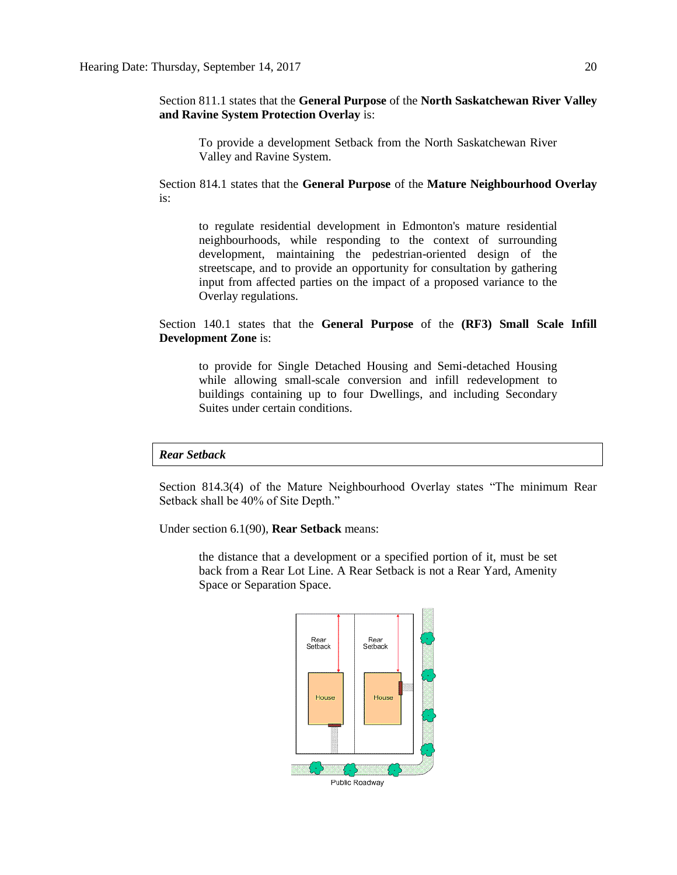Section 811.1 states that the **General Purpose** of the **North Saskatchewan River Valley and Ravine System Protection Overlay** is:

To provide a development Setback from the North Saskatchewan River Valley and Ravine System.

Section 814.1 states that the **General Purpose** of the **Mature Neighbourhood Overlay** is:

to regulate residential development in Edmonton's mature residential neighbourhoods, while responding to the context of surrounding development, maintaining the pedestrian-oriented design of the streetscape, and to provide an opportunity for consultation by gathering input from affected parties on the impact of a proposed variance to the Overlay regulations.

Section 140.1 states that the **General Purpose** of the **(RF3) Small Scale Infill Development Zone** is:

to provide for Single Detached Housing and Semi-detached Housing while allowing small-scale conversion and infill redevelopment to buildings containing up to four Dwellings, and including Secondary Suites under certain conditions.

*Rear Setback*

Section 814.3(4) of the Mature Neighbourhood Overlay states "The minimum Rear Setback shall be 40% of Site Depth."

Under section 6.1(90), **Rear Setback** means:

the distance that a development or a specified portion of it, must be set back from a Rear Lot Line. A Rear Setback is not a Rear Yard, Amenity Space or Separation Space.

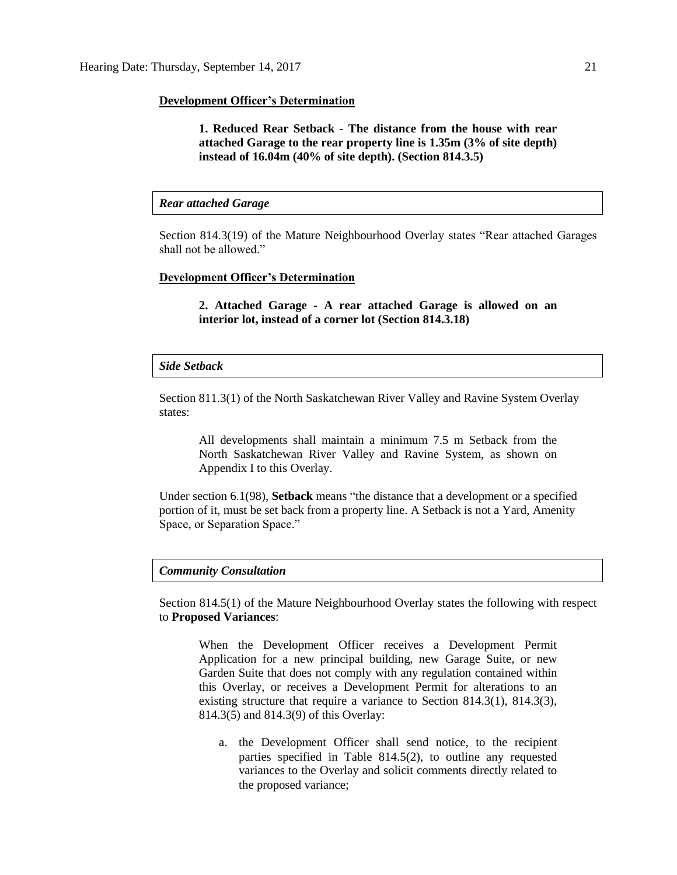#### **Development Officer's Determination**

**1. Reduced Rear Setback - The distance from the house with rear attached Garage to the rear property line is 1.35m (3% of site depth) instead of 16.04m (40% of site depth). (Section 814.3.5)**

#### *Rear attached Garage*

Section 814.3(19) of the Mature Neighbourhood Overlay states "Rear attached Garages shall not be allowed."

#### **Development Officer's Determination**

**2. Attached Garage - A rear attached Garage is allowed on an interior lot, instead of a corner lot (Section 814.3.18)**

#### *Side Setback*

Section 811.3(1) of the North Saskatchewan River Valley and Ravine System Overlay states:

All developments shall maintain a minimum 7.5 m Setback from the North Saskatchewan River Valley and Ravine System, as shown on Appendix I to this Overlay.

Under section 6.1(98), **Setback** means "the distance that a development or a specified portion of it, must be set back from a property line. A Setback is not a Yard, Amenity Space, or Separation Space."

#### *Community Consultation*

Section 814.5(1) of the Mature Neighbourhood Overlay states the following with respect to **Proposed Variances**:

When the Development Officer receives a Development Permit Application for a new principal building, new Garage Suite, or new Garden Suite that does not comply with any regulation contained within this Overlay, or receives a Development Permit for alterations to an existing structure that require a variance to Section 814.3(1), 814.3(3), 814.3(5) and 814.3(9) of this Overlay:

a. the Development Officer shall send notice, to the recipient parties specified in Table 814.5(2), to outline any requested variances to the Overlay and solicit comments directly related to the proposed variance;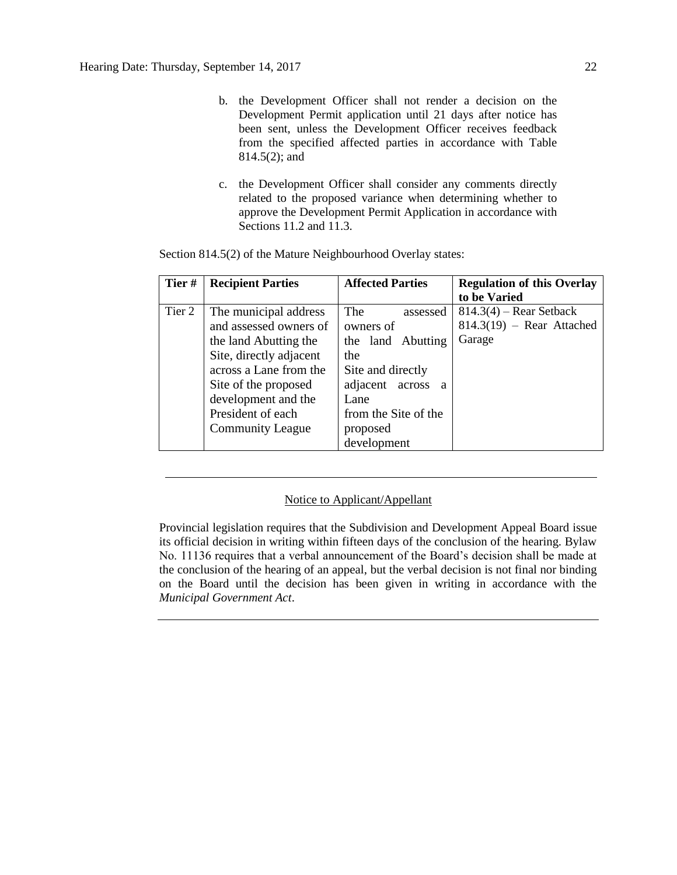- b. the Development Officer shall not render a decision on the Development Permit application until 21 days after notice has been sent, unless the Development Officer receives feedback from the specified affected parties in accordance with Table 814.5(2); and
- c. the Development Officer shall consider any comments directly related to the proposed variance when determining whether to approve the Development Permit Application in accordance with Sections 11.2 and 11.3.

| Tier#  | <b>Recipient Parties</b> | <b>Affected Parties</b>            | <b>Regulation of this Overlay</b> |
|--------|--------------------------|------------------------------------|-----------------------------------|
|        |                          |                                    | to be Varied                      |
| Tier 2 | The municipal address    | <b>The</b><br>assessed             | $814.3(4)$ – Rear Setback         |
|        | and assessed owners of   | owners of                          | $814.3(19)$ – Rear Attached       |
|        | the land Abutting the    | the land Abutting                  | Garage                            |
|        | Site, directly adjacent  | the                                |                                   |
|        | across a Lane from the   | Site and directly                  |                                   |
|        | Site of the proposed     | adjacent<br>across<br><sub>a</sub> |                                   |
|        | development and the      | Lane                               |                                   |
|        | President of each        | from the Site of the               |                                   |
|        | <b>Community League</b>  | proposed                           |                                   |
|        |                          | development                        |                                   |

Section 814.5(2) of the Mature Neighbourhood Overlay states:

### Notice to Applicant/Appellant

Provincial legislation requires that the Subdivision and Development Appeal Board issue its official decision in writing within fifteen days of the conclusion of the hearing. Bylaw No. 11136 requires that a verbal announcement of the Board's decision shall be made at the conclusion of the hearing of an appeal, but the verbal decision is not final nor binding on the Board until the decision has been given in writing in accordance with the *Municipal Government Act*.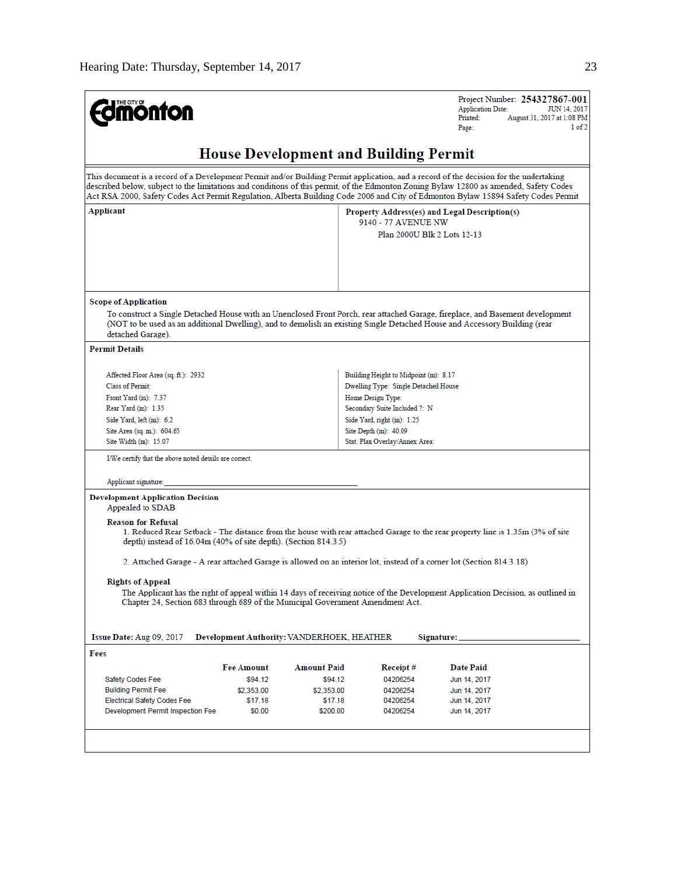Project Number: 254327867-001 **Edmonton Application Date:** JUN 14, 2017 August 31, 2017 at 1:08 PM Printed: Page:  $1<sub>of</sub>2$ **House Development and Building Permit** This document is a record of a Development Permit and/or Building Permit application, and a record of the decision for the undertaking described below, subject to the limitations and conditions of this permit, of the Edmonton Zoning Bylaw 12800 as amended, Safety Codes Act RSA 2000, Safety Codes Act Permit Regulation, Alberta Building Code 2006 and City of Edmonton Bylaw 15894 Safety Codes Permit **Applicant** Property Address(es) and Legal Description(s) 9140 - 77 AVENUE NW Plan 2000U Blk 2 Lots 12-13 **Scope of Application** To construct a Single Detached House with an Unenclosed Front Porch, rear attached Garage, fireplace, and Basement development (NOT to be used as an additional Dwelling), and to demolish an existing Single Detached House and Accessory Building (rear detached Garage). **Permit Details** Affected Floor Area (sq. ft.): 2932 Building Height to Midpoint (m): 8.17 Dwelling Type: Single Detached House **Class of Permit:** Front Yard (m): 7.37 Home Design Type: Rear Yard (m): 1.35 Secondary Suite Included ?: N Side Yard, left (m): 6.2 Side Yard, right (m): 1.25 Site Area (sq. m.): 604.65 Site Depth (m): 40.09 Site Width (m): 15.07 Stat. Plan Overlay/Annex Area: I/We certify that the above noted details are correct. Applicant signature: **Development Application Decision** Appealed to SDAB **Reason for Refusal** 1. Reduced Rear Setback - The distance from the house with rear attached Garage to the rear property line is 1.35m (3% of site depth) instead of 16.04m (40% of site depth). (Section 814.3.5) 2. Attached Garage - A rear attached Garage is allowed on an interior lot, instead of a corner lot (Section 814.3.18) **Rights of Appeal** The Applicant has the right of appeal within 14 days of receiving notice of the Development Application Decision, as outlined in Chapter 24, Section 683 through 689 of the Municipal Government Amendment Act. Development Authority: VANDERHOEK, HEATHER Issue Date: Aug 09, 2017 Signature: Fees **Fee Amount Amount Paid** Receipt# **Date Paid** Safety Codes Fee \$94.12 \$94.12 04206254 Jun 14, 2017 \$2,353.00 **Building Permit Fee** \$2,353.00 04206254 Jun 14, 2017 Electrical Safety Codes Fee \$17.18 04206254 Jun 14, 2017 \$17.18 Jun 14, 2017 Development Permit Inspection Fee \$0.00 \$200.00 04206254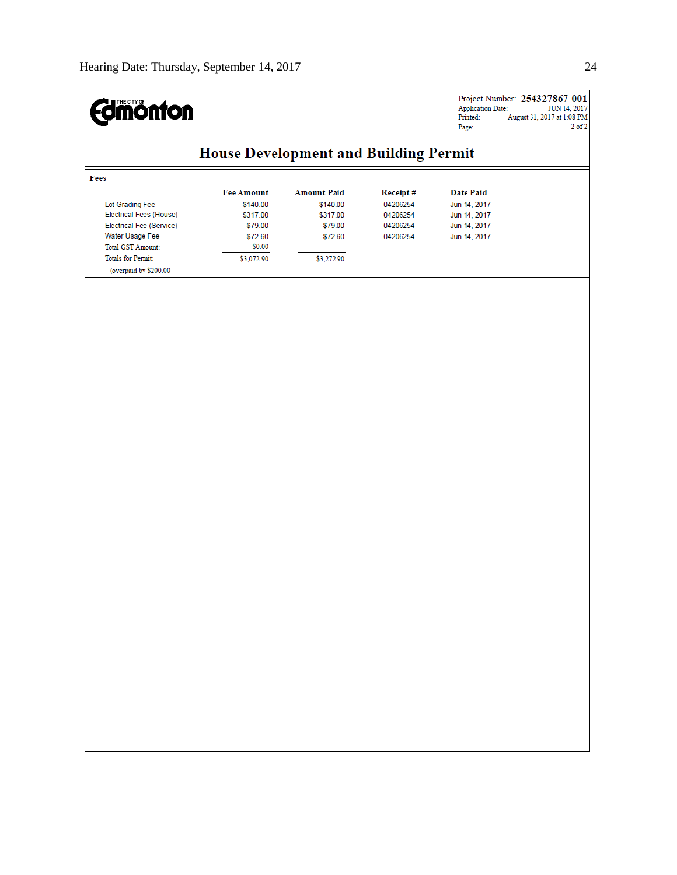

 $\begin{tabular}{l} Project Number: & \textbf{254327867-001} \\ Application Date: & JUN 14, 2017 \\ Printed: & August 31, 2017 at 1:08 PM \\ Page: & 2 of 2 \\ \end{tabular}$ 

# **House Development and Building Permit**

|                                | <b>Fee Amount</b> | <b>Amount Paid</b> | Receipt# | Date Paid    |
|--------------------------------|-------------------|--------------------|----------|--------------|
| Lot Grading Fee                | \$140.00          | \$140.00           | 04206254 | Jun 14, 2017 |
| <b>Electrical Fees (House)</b> | \$317.00          | \$317.00           | 04206254 | Jun 14, 2017 |
| Electrical Fee (Service)       | \$79.00           | \$79.00            | 04206254 | Jun 14, 2017 |
| Water Usage Fee                | \$72.60           | \$72.60            | 04206254 | Jun 14, 2017 |
| <b>Total GST Amount:</b>       | \$0.00            |                    |          |              |
| <b>Totals for Permit:</b>      | \$3,072.90        | \$3,272.90         |          |              |
| (overpaid by \$200.00          |                   |                    |          |              |